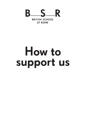

# How to support us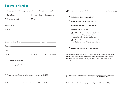### Become a Member

| I wish to support the BSR through Membership and would like to make this gift by:                                                                                                                                                    |             |                                   | $\Box$ I wish |                                |
|--------------------------------------------------------------------------------------------------------------------------------------------------------------------------------------------------------------------------------------|-------------|-----------------------------------|---------------|--------------------------------|
| Direct Debit                                                                                                                                                                                                                         |             | Sterling cheque / charity voucher |               |                                |
| $\Box$ Credit / debit card                                                                                                                                                                                                           | $\Box$ Cash |                                   |               | $\sqsupset$ /                  |
|                                                                                                                                                                                                                                      |             |                                   |               | : □                            |
|                                                                                                                                                                                                                                      |             |                                   |               | פ ⊏                            |
|                                                                                                                                                                                                                                      |             |                                   |               | ן ∃                            |
| and the control of the control of the control of the control of the control of the control of the control of the                                                                                                                     |             |                                   |               | I                              |
| $City$ $\qquad \qquad$                                                                                                                                                                                                               |             |                                   |               | I                              |
|                                                                                                                                                                                                                                      |             |                                   |               |                                |
| Country <b>Countries and Countries and Countries and Countries and Countries and Countries and Countries and Countries and Countries and Countries and Countries and Countries and Countries and Countries and Countries and Cou</b> |             |                                   |               |                                |
|                                                                                                                                                                                                                                      |             |                                   |               | コェ                             |
|                                                                                                                                                                                                                                      |             | $\Box$ Work                       | $\Box$ Mobile | Higher-l<br>Papers o<br>£50 Me |
| □ This is a new Membership                                                                                                                                                                                                           |             |                                   |               | an addit                       |
| I I am renewing my Membership                                                                                                                                                                                                        |             |                                   |               |                                |
|                                                                                                                                                                                                                                      |             |                                   |               |                                |
| $\Box$ Please send me information on how to leave a bequest to the BSR                                                                                                                                                               |             |                                   |               | US taxpay                      |

 I wish to make a Membership donation of £ and become a(n): I wish to make a Membership donation of £ and become a(n): Ashby Patron (£2,000 and above) | Ashby Patron (£2,000 and above)<br>| Sustaining Member (£500 and above) | Supporting Member (£100 and above)<br>|<br>| Member (£50 and above) Member (£50 and above)  $\frac{1}{2}$  soupplement for the current printed printed printed printed printed printed printed printed printed printed printed printed printed printed printed printed printed printed printed printed printed printed printed Papers of the British School at Romein School at Romeins School at Romeins School at Romeins School at Romeins School at Romeins School at Romeins School at Romeins School at Romeins School at the British School at Romeins  $\Box$  + £15 supplement for online access to all volumes  $\Box$  Institutional Member (£120 and above) + £21 supplement for the current printed *Papers of the British School at Rome*, as well as online access to all volumes of the *Papers of the British School at Rome*

£50 Members may purchase the Papers of the British School at Rome for level Members will receive a copy of the current printed version of the *Papers of the British School at Rome*, as well as online access to all volumes. tional fee.

*US taxpayers wishing to support the work of the BSR should contact the Development Office for further information at development@bsrome.it or on +44 (0)20 7969 5332*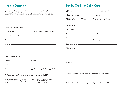## Make a Donation

| □ I wish to make a donation of £ ______________________ to the BSR                                                                                                                                       |                                                                                                                                                                                   |                                  | $\Box$ Please charge the sum of $E$ ______________________ to the following card:     |
|----------------------------------------------------------------------------------------------------------------------------------------------------------------------------------------------------------|-----------------------------------------------------------------------------------------------------------------------------------------------------------------------------------|----------------------------------|---------------------------------------------------------------------------------------|
| An unrestricted gift gives the BSR maximum flexibility to designate funds where the need is greatest.<br>However, if you wish to express a preference for how your donation is spent, please do so here: |                                                                                                                                                                                   | American Express                 | □ Maestro                                                                             |
|                                                                                                                                                                                                          |                                                                                                                                                                                   | $\Box$ MasterCard<br>$\Box$ Visa | □ Visa Debit / Visa Electron                                                          |
| I would like to make this gift by:                                                                                                                                                                       | ,我们也不会有什么。""我们的人,我们也不会有什么?""我们的人,我们也不会有什么?""我们的人,我们也不会有什么?""我们的人,我们也不会有什么?""我们的人                                                                                                  |                                  |                                                                                       |
| □ Direct Debit                                                                                                                                                                                           | $\Box$ Sterling cheque / charity voucher                                                                                                                                          |                                  |                                                                                       |
| □ Credit / debit card                                                                                                                                                                                    | $\Box$ Cash                                                                                                                                                                       |                                  |                                                                                       |
|                                                                                                                                                                                                          |                                                                                                                                                                                   |                                  | (Maestro only)                                                                        |
|                                                                                                                                                                                                          |                                                                                                                                                                                   |                                  |                                                                                       |
|                                                                                                                                                                                                          | ,我们也不能在这里的时候,我们也不能在这里的时候,我们也不能会在这里的时候,我们也不能会在这里的时候,我们也不能会在这里的时候,我们也不能会在这里的时候,我们也                                                                                                  |                                  |                                                                                       |
|                                                                                                                                                                                                          | $City$ $\qquad$                                                                                                                                                                   |                                  |                                                                                       |
|                                                                                                                                                                                                          |                                                                                                                                                                                   |                                  |                                                                                       |
|                                                                                                                                                                                                          |                                                                                                                                                                                   |                                  |                                                                                       |
|                                                                                                                                                                                                          |                                                                                                                                                                                   |                                  |                                                                                       |
|                                                                                                                                                                                                          | $\Box$ Mobile                                                                                                                                                                     |                                  |                                                                                       |
| $\Box$ Please send me information on how to leave a bequest to the BSR                                                                                                                                   |                                                                                                                                                                                   |                                  | Please note: Your credit card details will be destroyed upon receipt of your donation |
| for further information at development@bsrome.it or on +44 (0)20 7969 5332                                                                                                                               | US taxpayers wishing to support the work of the BSR should contact the Development Office<br>The British School at Rome is a charity registered in England and Wales (no. 314176) |                                  | The British School at Rome is a charity registered in England and Wales (no. 314176)  |

Pay by Credit or Debit Card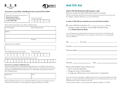



#### Instruction to your Bank or Building Society to pay by Direct Debit



Name and full postal address of your Bank or Building Society

| To: The Manager                                                 | <b>Bank / Building Society</b> |
|-----------------------------------------------------------------|--------------------------------|
| Address                                                         |                                |
|                                                                 |                                |
|                                                                 | Postcode                       |
| Name(s) of account holder(s)                                    |                                |
|                                                                 |                                |
| Bank / Building Society account number                          | Branch sort code               |
|                                                                 |                                |
| Reference number (for British School at Rome official use only) |                                |
|                                                                 |                                |
| Instruction to your Bank or Building Society                    |                                |

#### Instruction to your Bank or Building Society

Please pay the British School at Rome Direct Debits from the account detailed in this Instruction subject to the safeguards assured by the Direct Debit Guarantee. I understand that this Instruction may remain with the British School at Rome and, if so, details will be passed electronically to my Bank / Building Society.

| Signature(s) | Date |
|--------------|------|
|              |      |

The British School at Rome is a charity registered in England and Wales (no. 314176) Banks and Building Societies may not accept Direct Debit Instructions for some types of account

## Add Gift Aid

#### Charity Gift Aid Declaration (UK taxpayers only)

Boost your donation by 25p of Gift Aid for every £1 you donate Gift Aid is reclaimed by the British School at Rome from the tax you pay for the current tax year. Your address is needed to identify you as a current UK taxpayer.

#### In order to Gift Aid your donation you must tick the box below:

|                                                                   | . and any |
|-------------------------------------------------------------------|-----------|
| donations I make in the future, or have made in the past 4 years, |           |
| to the <b>British School at Rome</b>                              |           |

I am a UK taxpayer and understand that if I pay less Income Tax and / or Capital Gains Tax than the amount of Gift Aid claimed on all my donation in that tax year it is my responsibility to pay any difference.

| Surname                                                                               |  |  |
|---------------------------------------------------------------------------------------|--|--|
|                                                                                       |  |  |
|                                                                                       |  |  |
|                                                                                       |  |  |
| Postcode __________________________                                                   |  |  |
| Please notify the British School at Rome if you:<br>- wish to cancel this declaration |  |  |

- change your name or home address
- no longer pay sufficient tax on your income and / or capital gains

If you pay Income Tax at the higher or additional rate and want to receive the additional tax relief due to you, you must include all your Gift Aid donations on your Self-Assessment tax return or ask HM Revenue and Customs to adjust your tax code.

The British School at Rome is a charity registered in England and Wales (no. 314176)